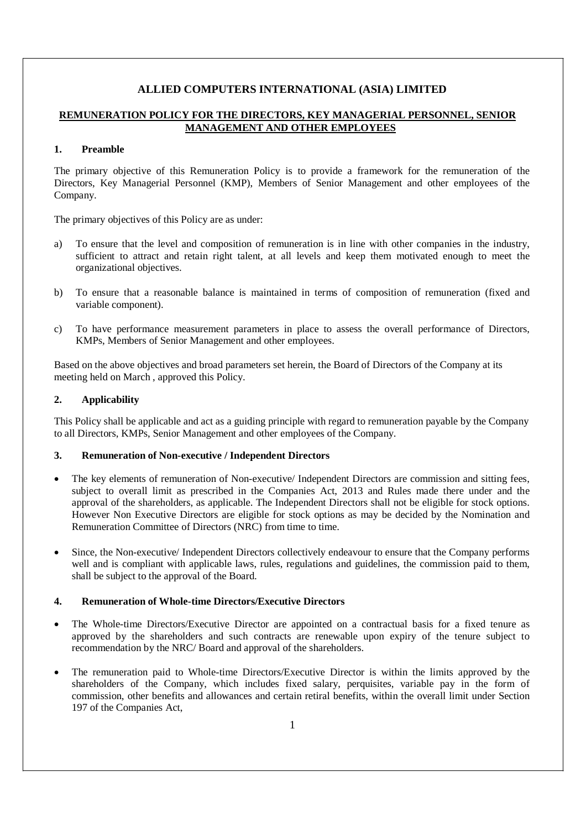# **ALLIED COMPUTERS INTERNATIONAL (ASIA) LIMITED**

# **REMUNERATION POLICY FOR THE DIRECTORS, KEY MANAGERIAL PERSONNEL, SENIOR MANAGEMENT AND OTHER EMPLOYEES**

### **1. Preamble**

The primary objective of this Remuneration Policy is to provide a framework for the remuneration of the Directors, Key Managerial Personnel (KMP), Members of Senior Management and other employees of the Company.

The primary objectives of this Policy are as under:

- a) To ensure that the level and composition of remuneration is in line with other companies in the industry, sufficient to attract and retain right talent, at all levels and keep them motivated enough to meet the organizational objectives.
- b) To ensure that a reasonable balance is maintained in terms of composition of remuneration (fixed and variable component).
- c) To have performance measurement parameters in place to assess the overall performance of Directors, KMPs, Members of Senior Management and other employees.

Based on the above objectives and broad parameters set herein, the Board of Directors of the Company at its meeting held on March , approved this Policy.

### **2. Applicability**

This Policy shall be applicable and act as a guiding principle with regard to remuneration payable by the Company to all Directors, KMPs, Senior Management and other employees of the Company.

#### **3. Remuneration of Non-executive / Independent Directors**

- The key elements of remuneration of Non-executive/ Independent Directors are commission and sitting fees, subject to overall limit as prescribed in the Companies Act, 2013 and Rules made there under and the approval of the shareholders, as applicable. The Independent Directors shall not be eligible for stock options. However Non Executive Directors are eligible for stock options as may be decided by the Nomination and Remuneration Committee of Directors (NRC) from time to time.
- Since, the Non-executive/ Independent Directors collectively endeavour to ensure that the Company performs well and is compliant with applicable laws, rules, regulations and guidelines, the commission paid to them, shall be subject to the approval of the Board.

## **4. Remuneration of Whole-time Directors/Executive Directors**

- The Whole-time Directors/Executive Director are appointed on a contractual basis for a fixed tenure as approved by the shareholders and such contracts are renewable upon expiry of the tenure subject to recommendation by the NRC/ Board and approval of the shareholders.
- The remuneration paid to Whole-time Directors/Executive Director is within the limits approved by the shareholders of the Company, which includes fixed salary, perquisites, variable pay in the form of commission, other benefits and allowances and certain retiral benefits, within the overall limit under Section 197 of the Companies Act,